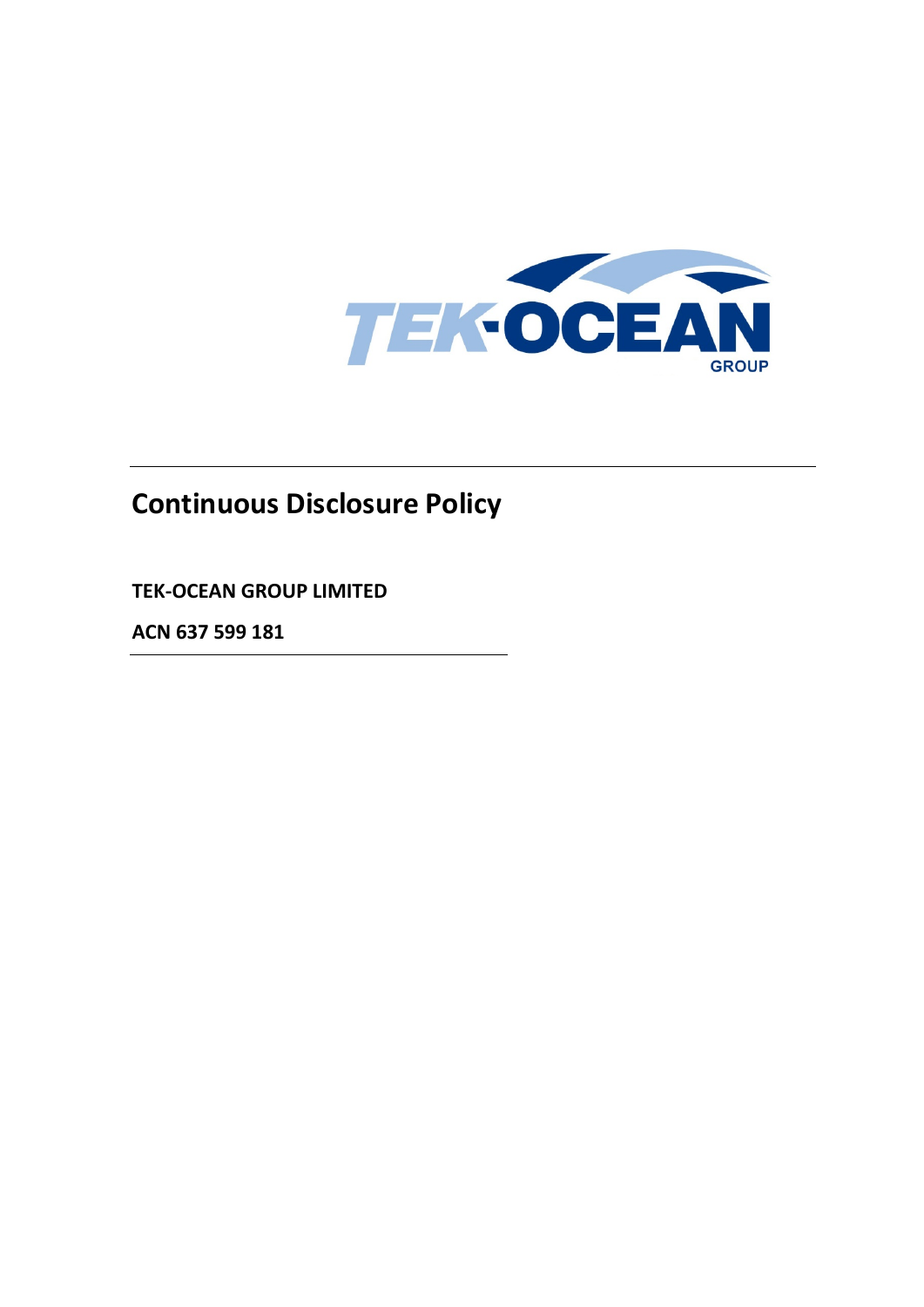

# **Continuous Disclosure Policy**

**TEK-OCEAN GROUP LIMITED**

**ACN 637 599 181**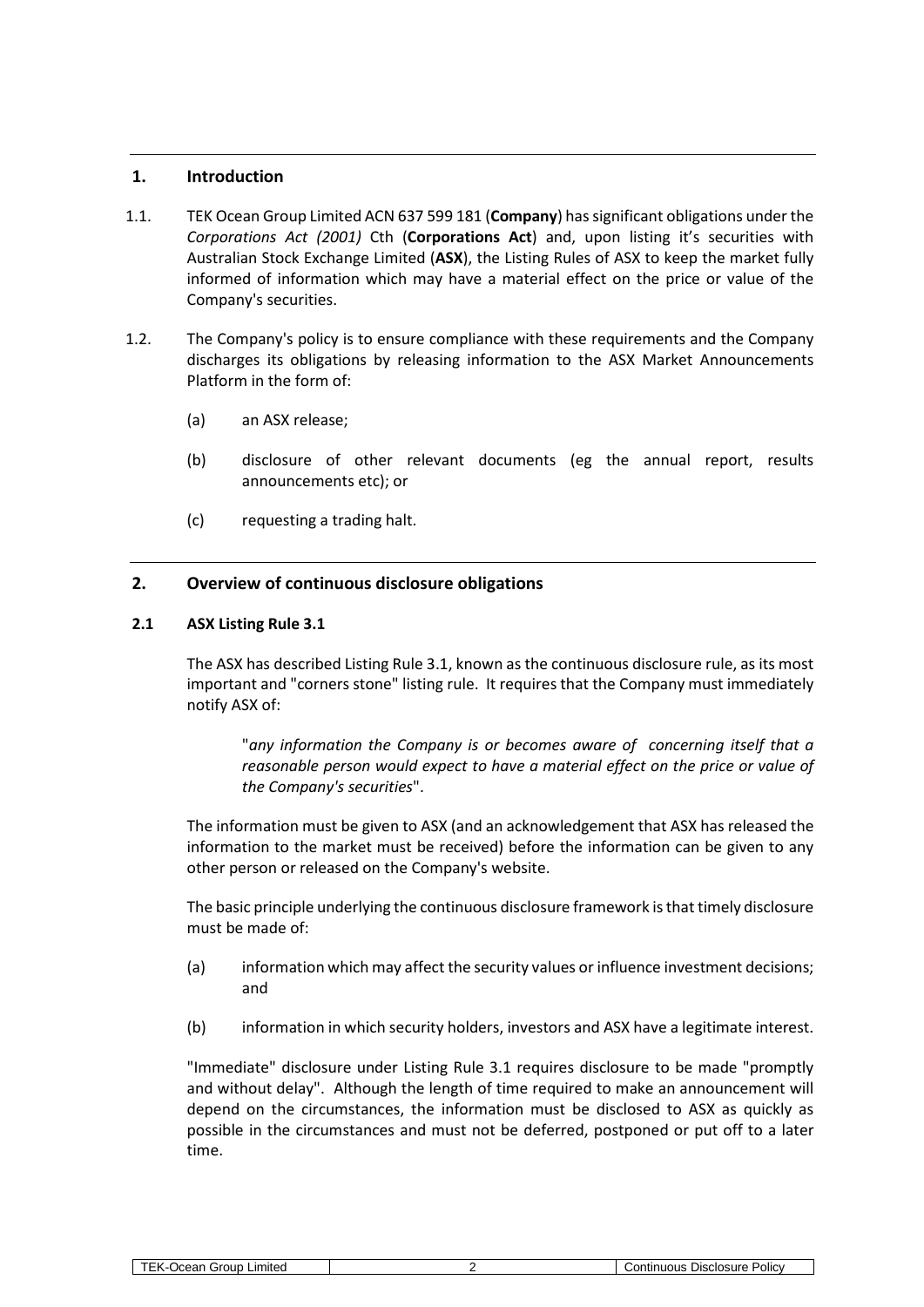# **1. Introduction**

- 1.1. TEK Ocean Group Limited ACN 637 599 181 (**Company**) has significant obligations under the *Corporations Act (2001)* Cth (**Corporations Act**) and, upon listing it's securities with Australian Stock Exchange Limited (**ASX**), the Listing Rules of ASX to keep the market fully informed of information which may have a material effect on the price or value of the Company's securities.
- 1.2. The Company's policy is to ensure compliance with these requirements and the Company discharges its obligations by releasing information to the ASX Market Announcements Platform in the form of:
	- (a) an ASX release;
	- (b) disclosure of other relevant documents (eg the annual report, results announcements etc); or
	- (c) requesting a trading halt.

# **2. Overview of continuous disclosure obligations**

#### **2.1 ASX Listing Rule 3.1**

The ASX has described Listing Rule 3.1, known as the continuous disclosure rule, as its most important and "corners stone" listing rule. It requires that the Company must immediately notify ASX of:

"*any information the Company is or becomes aware of concerning itself that a reasonable person would expect to have a material effect on the price or value of the Company's securities*".

The information must be given to ASX (and an acknowledgement that ASX has released the information to the market must be received) before the information can be given to any other person or released on the Company's website.

The basic principle underlying the continuous disclosure framework is that timely disclosure must be made of:

- (a) information which may affect the security values or influence investment decisions; and
- (b) information in which security holders, investors and ASX have a legitimate interest.

"Immediate" disclosure under Listing Rule 3.1 requires disclosure to be made "promptly and without delay". Although the length of time required to make an announcement will depend on the circumstances, the information must be disclosed to ASX as quickly as possible in the circumstances and must not be deferred, postponed or put off to a later time.

| <b>TEK-Ocean Group Limited</b> |  |
|--------------------------------|--|
|--------------------------------|--|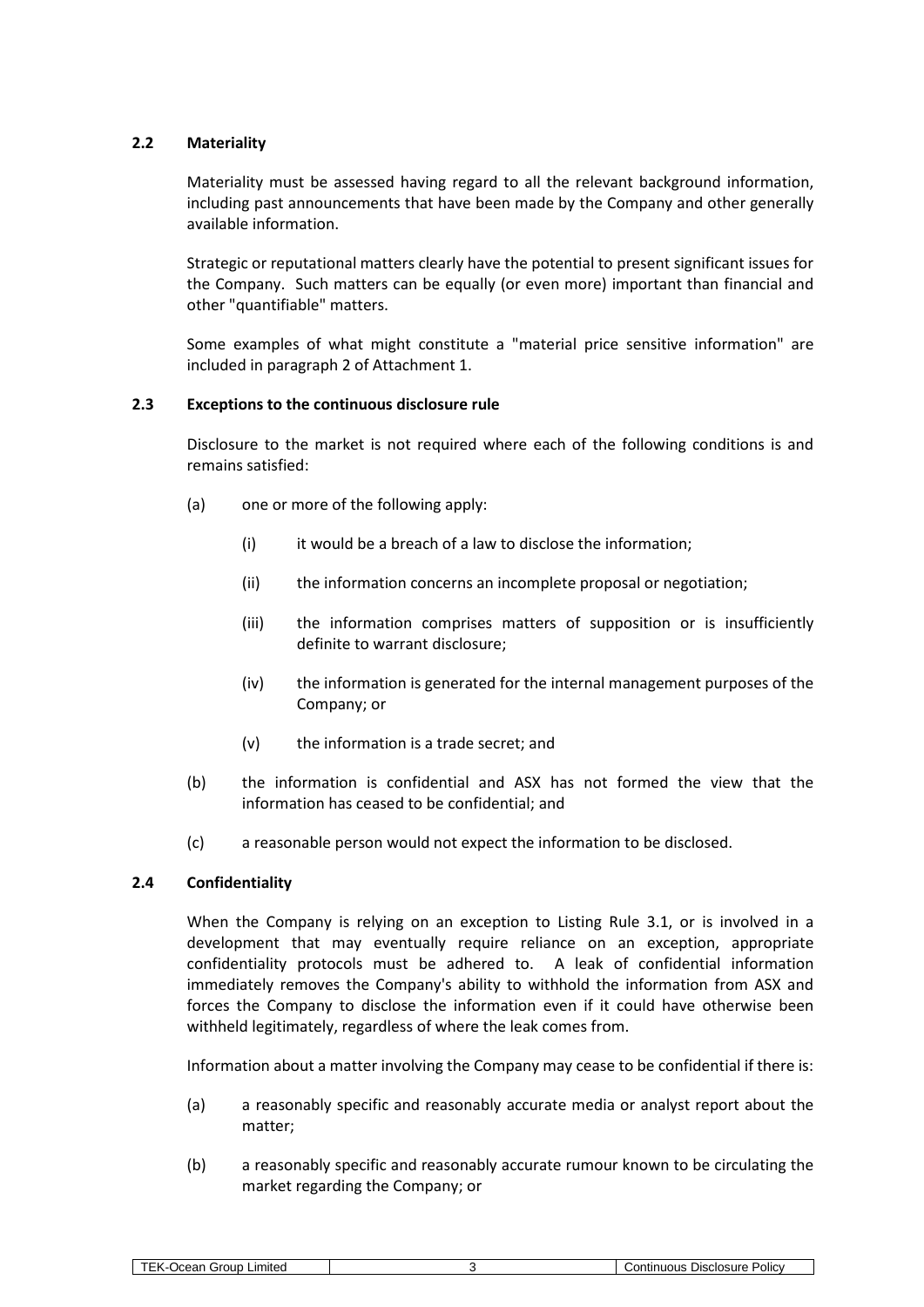# **2.2 Materiality**

Materiality must be assessed having regard to all the relevant background information, including past announcements that have been made by the Company and other generally available information.

Strategic or reputational matters clearly have the potential to present significant issues for the Company. Such matters can be equally (or even more) important than financial and other "quantifiable" matters.

Some examples of what might constitute a "material price sensitive information" are included in paragrap[h 2](#page-18-0) of Attachment [1.](#page-18-1)

#### <span id="page-2-0"></span>**2.3 Exceptions to the continuous disclosure rule**

Disclosure to the market is not required where each of the following conditions is and remains satisfied:

- (a) one or more of the following apply:
	- (i) it would be a breach of a law to disclose the information;
	- (ii) the information concerns an incomplete proposal or negotiation;
	- (iii) the information comprises matters of supposition or is insufficiently definite to warrant disclosure;
	- (iv) the information is generated for the internal management purposes of the Company; or
	- (v) the information is a trade secret; and
- (b) the information is confidential and ASX has not formed the view that the information has ceased to be confidential; and
- (c) a reasonable person would not expect the information to be disclosed.

# **2.4 Confidentiality**

When the Company is relying on an exception to Listing Rule 3.1, or is involved in a development that may eventually require reliance on an exception, appropriate confidentiality protocols must be adhered to. A leak of confidential information immediately removes the Company's ability to withhold the information from ASX and forces the Company to disclose the information even if it could have otherwise been withheld legitimately, regardless of where the leak comes from.

Information about a matter involving the Company may cease to be confidential if there is:

- (a) a reasonably specific and reasonably accurate media or analyst report about the matter;
- (b) a reasonably specific and reasonably accurate rumour known to be circulating the market regarding the Company; or

| .7711 | arour<br>-imited<br>.1000<br>$\overline{\phantom{a}}$ |  | <b>POIC</b><br>Disclosure<br>----<br>.<br>,,,,,,,<br>ш |
|-------|-------------------------------------------------------|--|--------------------------------------------------------|
|-------|-------------------------------------------------------|--|--------------------------------------------------------|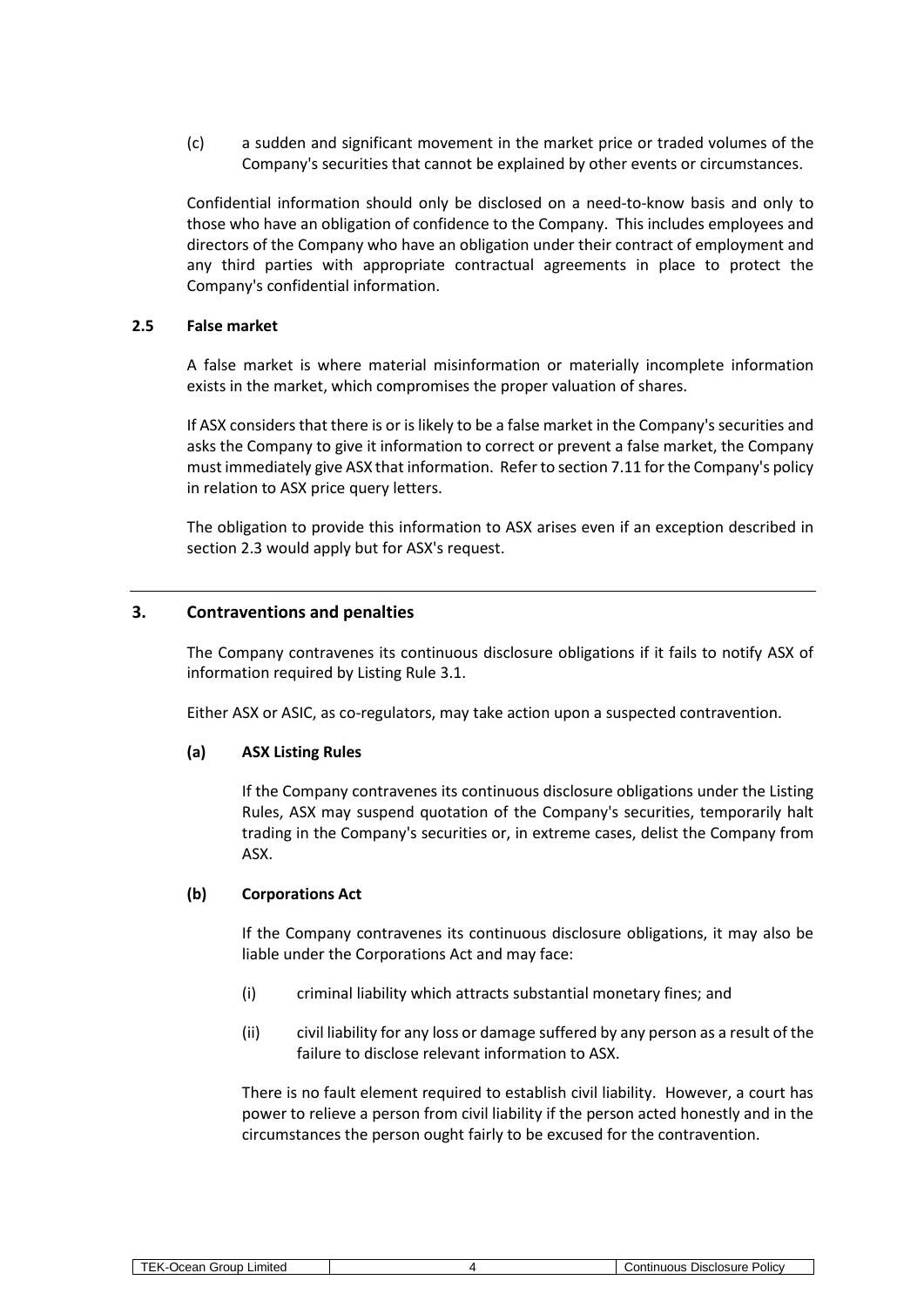(c) a sudden and significant movement in the market price or traded volumes of the Company's securities that cannot be explained by other events or circumstances.

Confidential information should only be disclosed on a need-to-know basis and only to those who have an obligation of confidence to the Company. This includes employees and directors of the Company who have an obligation under their contract of employment and any third parties with appropriate contractual agreements in place to protect the Company's confidential information.

# **2.5 False market**

A false market is where material misinformation or materially incomplete information exists in the market, which compromises the proper valuation of shares.

If ASX considers that there is or is likely to be a false market in the Company's securities and asks the Company to give it information to correct or prevent a false market, the Company must immediately give ASX that information. Refer to section [7.11](#page-11-0) for the Company's policy in relation to ASX price query letters.

The obligation to provide this information to ASX arises even if an exception described in section [2.3](#page-2-0) would apply but for ASX's request.

# **3. Contraventions and penalties**

The Company contravenes its continuous disclosure obligations if it fails to notify ASX of information required by Listing Rule 3.1.

Either ASX or ASIC, as co-regulators, may take action upon a suspected contravention.

#### **(a) ASX Listing Rules**

If the Company contravenes its continuous disclosure obligations under the Listing Rules, ASX may suspend quotation of the Company's securities, temporarily halt trading in the Company's securities or, in extreme cases, delist the Company from ASX.

#### **(b) Corporations Act**

If the Company contravenes its continuous disclosure obligations, it may also be liable under the Corporations Act and may face:

- (i) criminal liability which attracts substantial monetary fines; and
- (ii) civil liability for any loss or damage suffered by any person as a result of the failure to disclose relevant information to ASX.

There is no fault element required to establish civil liability. However, a court has power to relieve a person from civil liability if the person acted honestly and in the circumstances the person ought fairly to be excused for the contravention.

| $- - -$<br>.                                                             |              |
|--------------------------------------------------------------------------|--------------|
| Limited<br><b>Disclosure</b><br>Group<br>.ontir<br>ามดนร<br>- 14<br>ווסכ | <b>POICV</b> |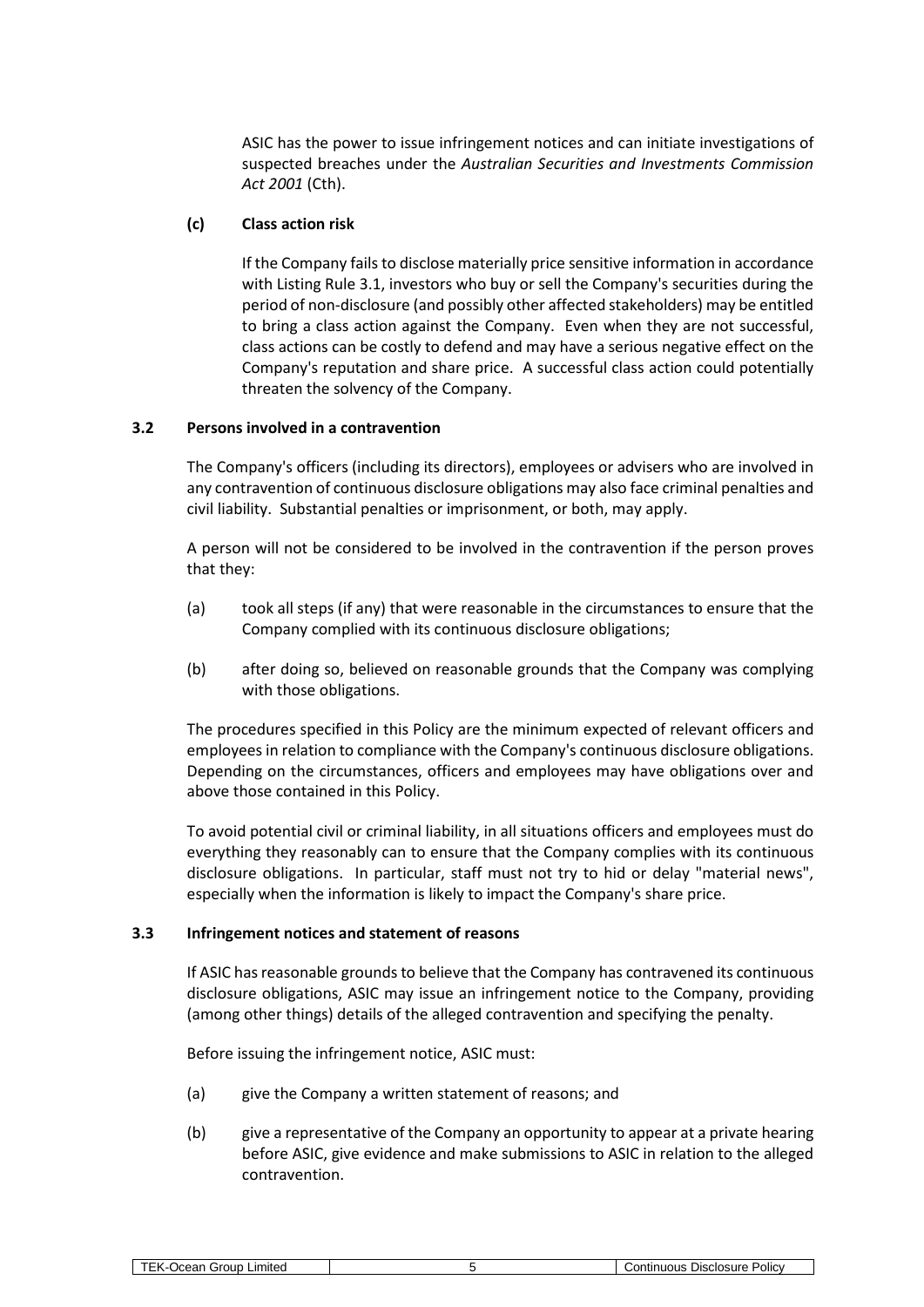ASIC has the power to issue infringement notices and can initiate investigations of suspected breaches under the *Australian Securities and Investments Commission Act 2001* (Cth).

# **(c) Class action risk**

If the Company fails to disclose materially price sensitive information in accordance with Listing Rule 3.1, investors who buy or sell the Company's securities during the period of non-disclosure (and possibly other affected stakeholders) may be entitled to bring a class action against the Company. Even when they are not successful, class actions can be costly to defend and may have a serious negative effect on the Company's reputation and share price. A successful class action could potentially threaten the solvency of the Company.

# **3.2 Persons involved in a contravention**

The Company's officers (including its directors), employees or advisers who are involved in any contravention of continuous disclosure obligations may also face criminal penalties and civil liability. Substantial penalties or imprisonment, or both, may apply.

A person will not be considered to be involved in the contravention if the person proves that they:

- (a) took all steps (if any) that were reasonable in the circumstances to ensure that the Company complied with its continuous disclosure obligations;
- (b) after doing so, believed on reasonable grounds that the Company was complying with those obligations.

The procedures specified in this Policy are the minimum expected of relevant officers and employees in relation to compliance with the Company's continuous disclosure obligations. Depending on the circumstances, officers and employees may have obligations over and above those contained in this Policy.

To avoid potential civil or criminal liability, in all situations officers and employees must do everything they reasonably can to ensure that the Company complies with its continuous disclosure obligations. In particular, staff must not try to hid or delay "material news", especially when the information is likely to impact the Company's share price.

#### **3.3 Infringement notices and statement of reasons**

If ASIC has reasonable grounds to believe that the Company has contravened its continuous disclosure obligations, ASIC may issue an infringement notice to the Company, providing (among other things) details of the alleged contravention and specifying the penalty.

Before issuing the infringement notice, ASIC must:

- (a) give the Company a written statement of reasons; and
- (b) give a representative of the Company an opportunity to appear at a private hearing before ASIC, give evidence and make submissions to ASIC in relation to the alleged contravention.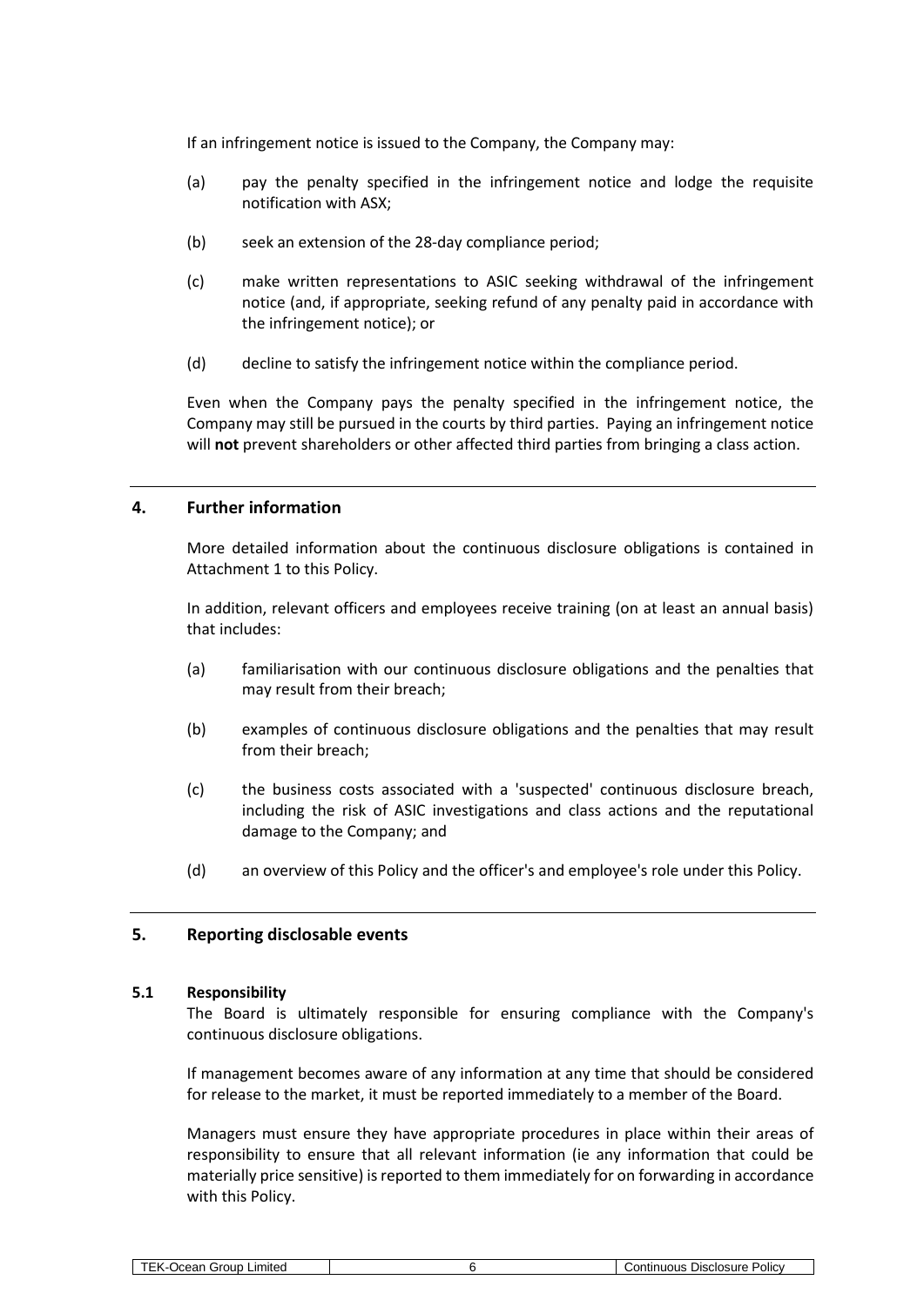If an infringement notice is issued to the Company, the Company may:

- (a) pay the penalty specified in the infringement notice and lodge the requisite notification with ASX;
- (b) seek an extension of the 28-day compliance period;
- (c) make written representations to ASIC seeking withdrawal of the infringement notice (and, if appropriate, seeking refund of any penalty paid in accordance with the infringement notice); or
- (d) decline to satisfy the infringement notice within the compliance period.

Even when the Company pays the penalty specified in the infringement notice, the Company may still be pursued in the courts by third parties. Paying an infringement notice will **not** prevent shareholders or other affected third parties from bringing a class action.

# **4. Further information**

More detailed information about the continuous disclosure obligations is contained in Attachment [1](#page-18-1) to this Policy.

In addition, relevant officers and employees receive training (on at least an annual basis) that includes:

- (a) familiarisation with our continuous disclosure obligations and the penalties that may result from their breach;
- (b) examples of continuous disclosure obligations and the penalties that may result from their breach;
- (c) the business costs associated with a 'suspected' continuous disclosure breach, including the risk of ASIC investigations and class actions and the reputational damage to the Company; and
- (d) an overview of this Policy and the officer's and employee's role under this Policy.

#### **5. Reporting disclosable events**

#### <span id="page-5-0"></span>**5.1 Responsibility**

The Board is ultimately responsible for ensuring compliance with the Company's continuous disclosure obligations.

If management becomes aware of any information at any time that should be considered for release to the market, it must be reported immediately to a member of the Board.

Managers must ensure they have appropriate procedures in place within their areas of responsibility to ensure that all relevant information (ie any information that could be materially price sensitive) is reported to them immediately for on forwarding in accordance with this Policy.

| Group<br>-imited<br>$\overline{\phantom{a}}$<br>$\sim$<br>$-1$ | -<br>sure<br><b>Policy</b><br>⊃isclos <sup>,</sup><br>.<br>.<br>.<br> |
|----------------------------------------------------------------|-----------------------------------------------------------------------|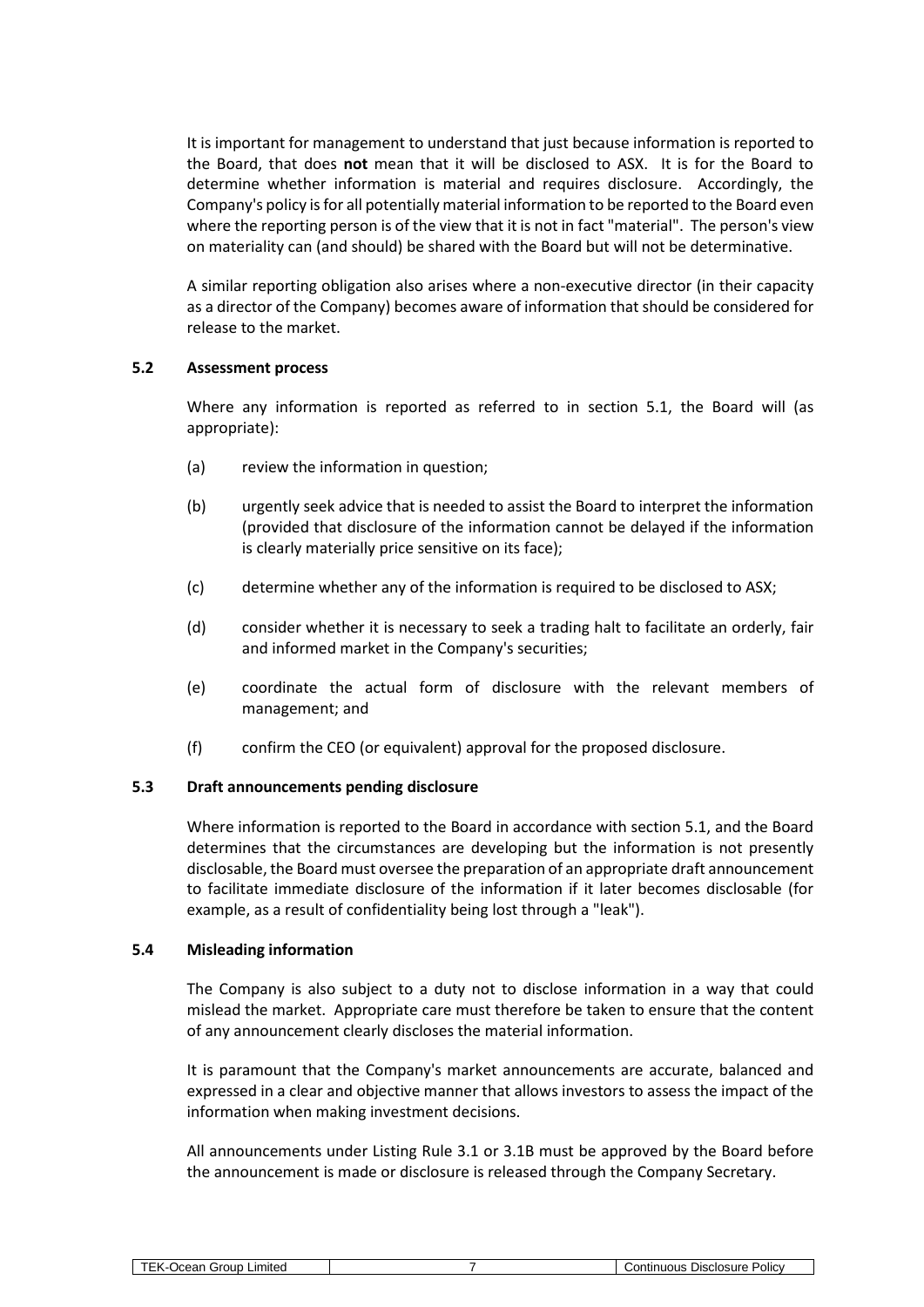It is important for management to understand that just because information is reported to the Board, that does **not** mean that it will be disclosed to ASX. It is for the Board to determine whether information is material and requires disclosure. Accordingly, the Company's policy is for all potentially material information to be reported to the Board even where the reporting person is of the view that it is not in fact "material". The person's view on materiality can (and should) be shared with the Board but will not be determinative.

A similar reporting obligation also arises where a non-executive director (in their capacity as a director of the Company) becomes aware of information that should be considered for release to the market.

# **5.2 Assessment process**

Where any information is reported as referred to in section [5.1,](#page-5-0) the Board will (as appropriate):

- (a) review the information in question;
- (b) urgently seek advice that is needed to assist the Board to interpret the information (provided that disclosure of the information cannot be delayed if the information is clearly materially price sensitive on its face);
- (c) determine whether any of the information is required to be disclosed to ASX;
- (d) consider whether it is necessary to seek a trading halt to facilitate an orderly, fair and informed market in the Company's securities;
- (e) coordinate the actual form of disclosure with the relevant members of management; and
- (f) confirm the CEO (or equivalent) approval for the proposed disclosure.

# **5.3 Draft announcements pending disclosure**

Where information is reported to the Board in accordance with section [5.1,](#page-5-0) and the Board determines that the circumstances are developing but the information is not presently disclosable, the Board must oversee the preparation of an appropriate draft announcement to facilitate immediate disclosure of the information if it later becomes disclosable (for example, as a result of confidentiality being lost through a "leak").

#### **5.4 Misleading information**

The Company is also subject to a duty not to disclose information in a way that could mislead the market. Appropriate care must therefore be taken to ensure that the content of any announcement clearly discloses the material information.

It is paramount that the Company's market announcements are accurate, balanced and expressed in a clear and objective manner that allows investors to assess the impact of the information when making investment decisions.

All announcements under Listing Rule 3.1 or 3.1B must be approved by the Board before the announcement is made or disclosure is released through the Company Secretary.

| _ımıted<br>irour<br>$-$<br>יי<br>еаг<br>. . | -<br><b>Policy</b><br>sclosure<br>.<br>JISO<br>.<br>' ILI. |
|---------------------------------------------|------------------------------------------------------------|
|                                             |                                                            |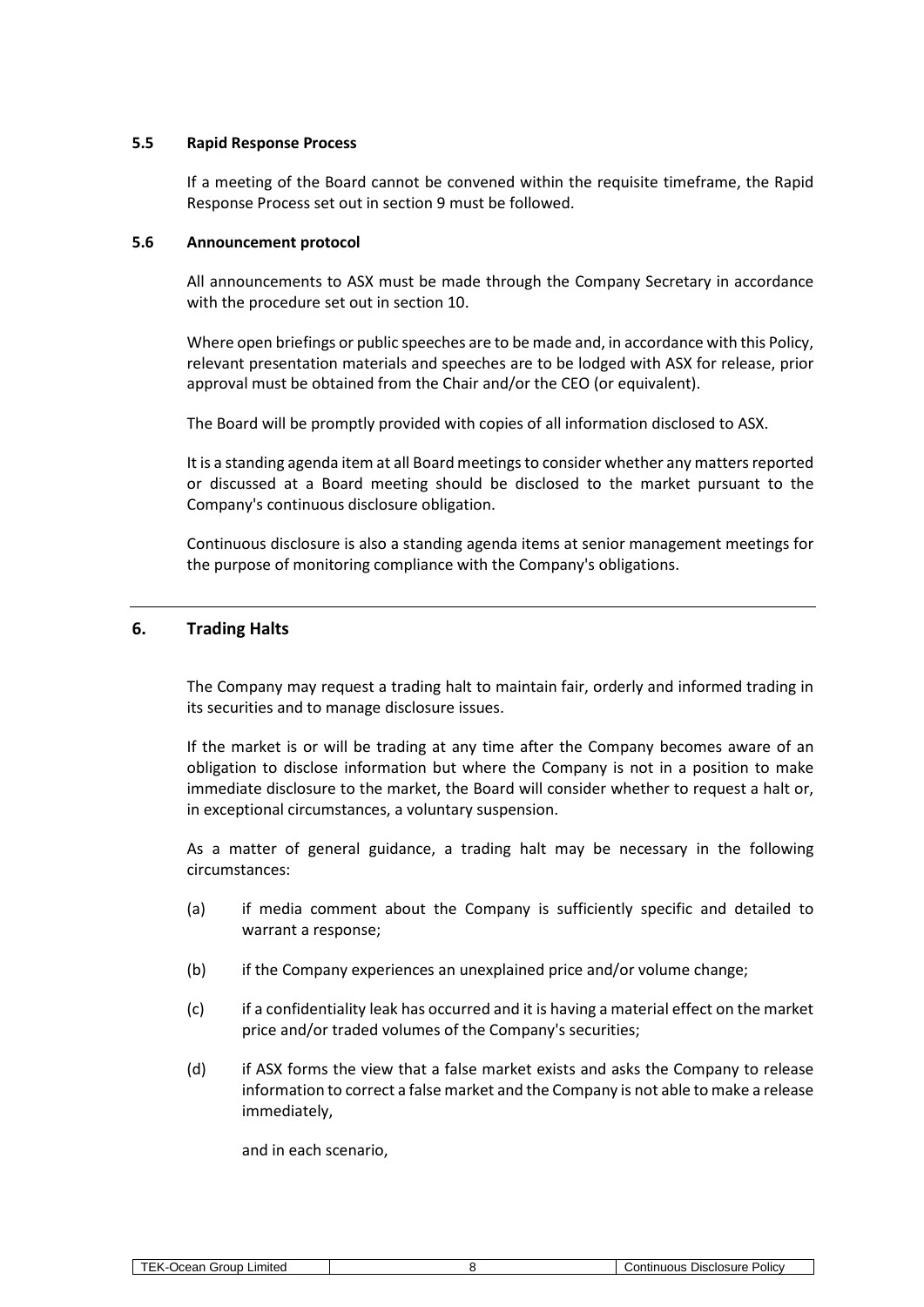#### **5.5 Rapid Response Process**

If a meeting of the Board cannot be convened within the requisite timeframe, the Rapid Response Process set out in sectio[n 9](#page-14-0) must be followed.

#### **5.6 Announcement protocol**

All announcements to ASX must be made through the Company Secretary in accordance with the procedure set out in section [10.](#page-15-0)

Where open briefings or public speeches are to be made and, in accordance with this Policy, relevant presentation materials and speeches are to be lodged with ASX for release, prior approval must be obtained from the Chair and/or the CEO (or equivalent).

The Board will be promptly provided with copies of all information disclosed to ASX.

It is a standing agenda item at all Board meetings to consider whether any matters reported or discussed at a Board meeting should be disclosed to the market pursuant to the Company's continuous disclosure obligation.

Continuous disclosure is also a standing agenda items at senior management meetings for the purpose of monitoring compliance with the Company's obligations.

# **6. Trading Halts**

The Company may request a trading halt to maintain fair, orderly and informed trading in its securities and to manage disclosure issues.

If the market is or will be trading at any time after the Company becomes aware of an obligation to disclose information but where the Company is not in a position to make immediate disclosure to the market, the Board will consider whether to request a halt or, in exceptional circumstances, a voluntary suspension.

As a matter of general guidance, a trading halt may be necessary in the following circumstances:

- (a) if media comment about the Company is sufficiently specific and detailed to warrant a response;
- (b) if the Company experiences an unexplained price and/or volume change;
- (c) if a confidentiality leak has occurred and it is having a material effect on the market price and/or traded volumes of the Company's securities;
- (d) if ASX forms the view that a false market exists and asks the Company to release information to correct a false market and the Company is not able to make a release immediately,

and in each scenario,

| TEK-Ocean Group Limited |  |
|-------------------------|--|
|-------------------------|--|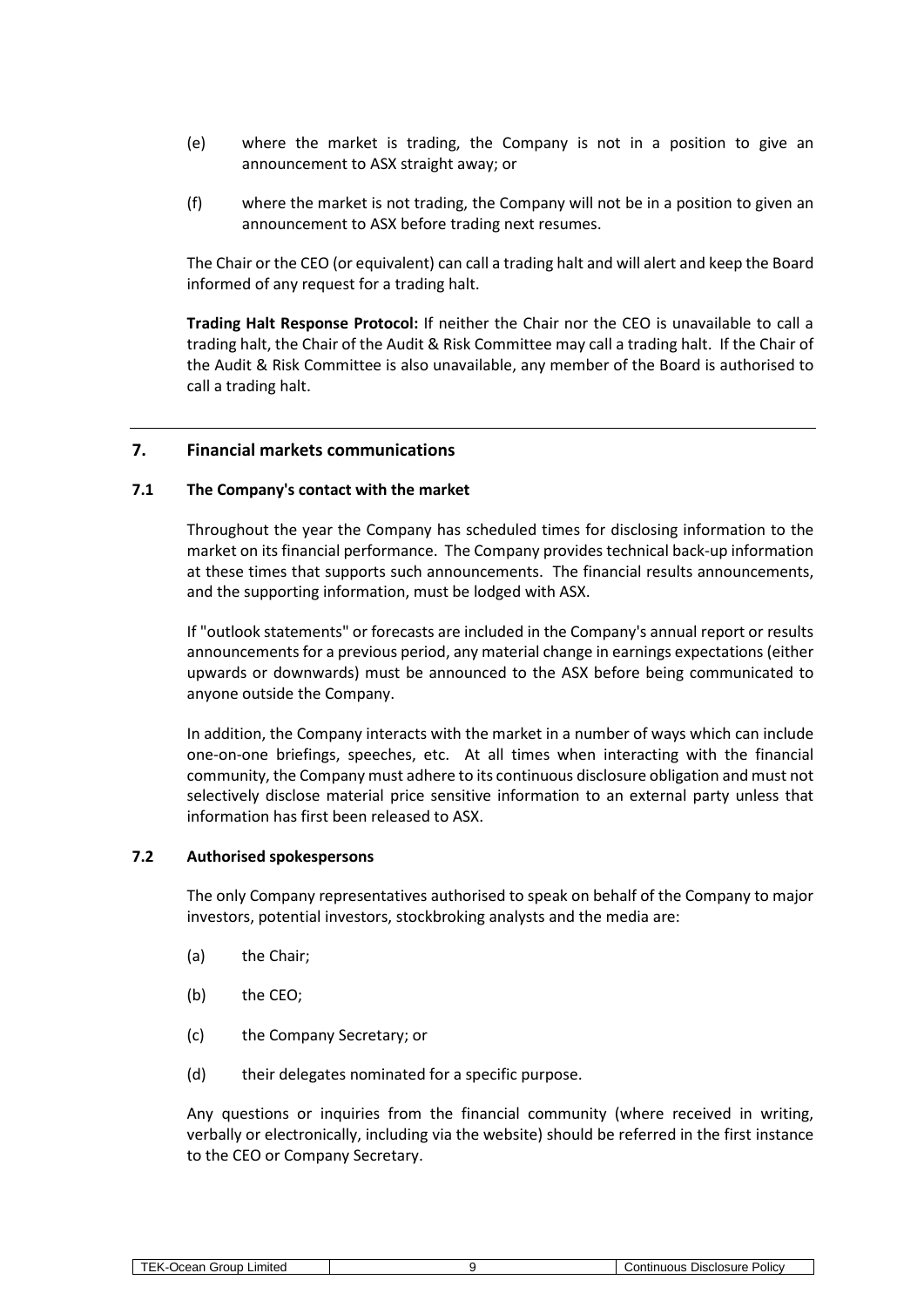- (e) where the market is trading, the Company is not in a position to give an announcement to ASX straight away; or
- (f) where the market is not trading, the Company will not be in a position to given an announcement to ASX before trading next resumes.

The Chair or the CEO (or equivalent) can call a trading halt and will alert and keep the Board informed of any request for a trading halt.

**Trading Halt Response Protocol:** If neither the Chair nor the CEO is unavailable to call a trading halt, the Chair of the Audit & Risk Committee may call a trading halt. If the Chair of the Audit & Risk Committee is also unavailable, any member of the Board is authorised to call a trading halt.

#### <span id="page-8-0"></span>**7. Financial markets communications**

#### **7.1 The Company's contact with the market**

Throughout the year the Company has scheduled times for disclosing information to the market on its financial performance. The Company provides technical back-up information at these times that supports such announcements. The financial results announcements, and the supporting information, must be lodged with ASX.

If "outlook statements" or forecasts are included in the Company's annual report or results announcements for a previous period, any material change in earnings expectations (either upwards or downwards) must be announced to the ASX before being communicated to anyone outside the Company.

In addition, the Company interacts with the market in a number of ways which can include one-on-one briefings, speeches, etc. At all times when interacting with the financial community, the Company must adhere to its continuous disclosure obligation and must not selectively disclose material price sensitive information to an external party unless that information has first been released to ASX.

#### **7.2 Authorised spokespersons**

The only Company representatives authorised to speak on behalf of the Company to major investors, potential investors, stockbroking analysts and the media are:

- (a) the Chair;
- (b) the CEO;
- (c) the Company Secretary; or
- (d) their delegates nominated for a specific purpose.

Any questions or inquiries from the financial community (where received in writing, verbally or electronically, including via the website) should be referred in the first instance to the CEO or Company Secretary.

| <b>TFK</b><br>irour<br>_ımıted<br>ear<br>10, | Disclosure<br><b>Policy</b><br>າtınuous |
|----------------------------------------------|-----------------------------------------|
|                                              |                                         |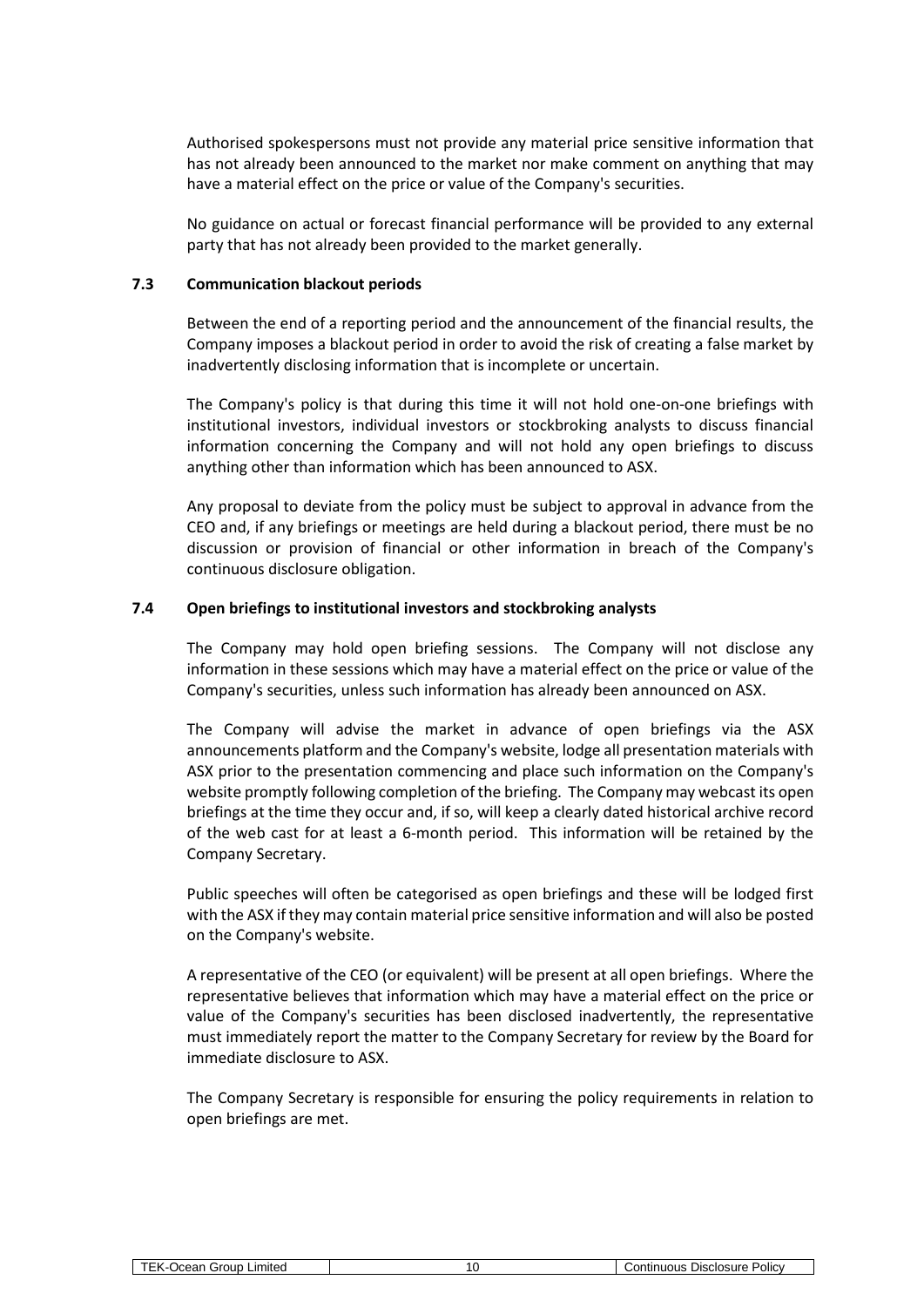Authorised spokespersons must not provide any material price sensitive information that has not already been announced to the market nor make comment on anything that may have a material effect on the price or value of the Company's securities.

No guidance on actual or forecast financial performance will be provided to any external party that has not already been provided to the market generally.

#### **7.3 Communication blackout periods**

Between the end of a reporting period and the announcement of the financial results, the Company imposes a blackout period in order to avoid the risk of creating a false market by inadvertently disclosing information that is incomplete or uncertain.

The Company's policy is that during this time it will not hold one-on-one briefings with institutional investors, individual investors or stockbroking analysts to discuss financial information concerning the Company and will not hold any open briefings to discuss anything other than information which has been announced to ASX.

Any proposal to deviate from the policy must be subject to approval in advance from the CEO and, if any briefings or meetings are held during a blackout period, there must be no discussion or provision of financial or other information in breach of the Company's continuous disclosure obligation.

#### **7.4 Open briefings to institutional investors and stockbroking analysts**

The Company may hold open briefing sessions. The Company will not disclose any information in these sessions which may have a material effect on the price or value of the Company's securities, unless such information has already been announced on ASX.

The Company will advise the market in advance of open briefings via the ASX announcements platform and the Company's website, lodge all presentation materials with ASX prior to the presentation commencing and place such information on the Company's website promptly following completion of the briefing. The Company may webcast its open briefings at the time they occur and, if so, will keep a clearly dated historical archive record of the web cast for at least a 6-month period. This information will be retained by the Company Secretary.

Public speeches will often be categorised as open briefings and these will be lodged first with the ASX if they may contain material price sensitive information and will also be posted on the Company's website.

A representative of the CEO (or equivalent) will be present at all open briefings. Where the representative believes that information which may have a material effect on the price or value of the Company's securities has been disclosed inadvertently, the representative must immediately report the matter to the Company Secretary for review by the Board for immediate disclosure to ASX.

The Company Secretary is responsible for ensuring the policy requirements in relation to open briefings are met.

| _roup<br>∟ımıted<br>--<br>Ocean. | Disclosure<br>Policy<br>.<br>uunuous .<br>ا∪ت |
|----------------------------------|-----------------------------------------------|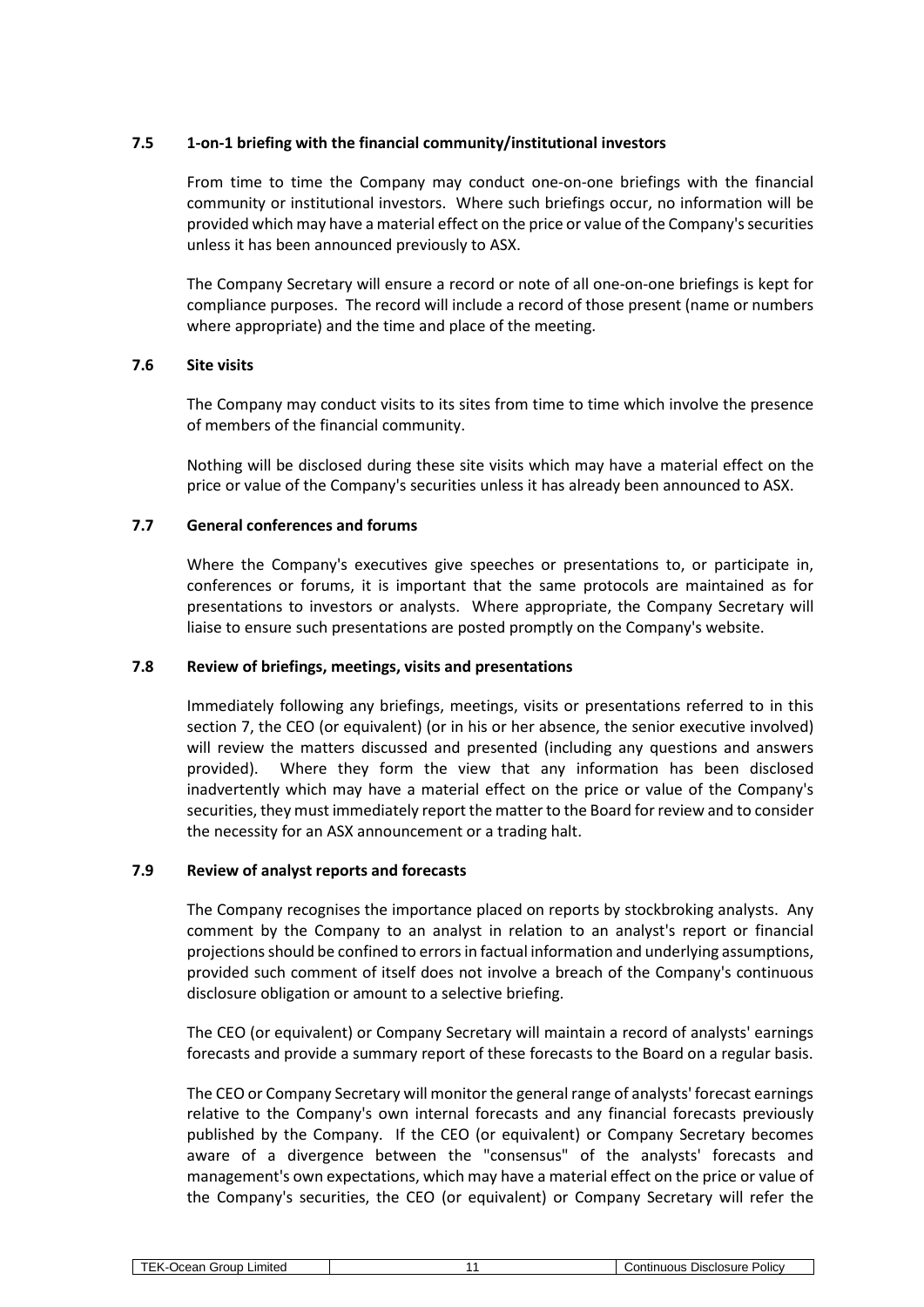# **7.5 1-on-1 briefing with the financial community/institutional investors**

From time to time the Company may conduct one-on-one briefings with the financial community or institutional investors. Where such briefings occur, no information will be provided which may have a material effect on the price or value of the Company's securities unless it has been announced previously to ASX.

The Company Secretary will ensure a record or note of all one-on-one briefings is kept for compliance purposes. The record will include a record of those present (name or numbers where appropriate) and the time and place of the meeting.

# **7.6 Site visits**

The Company may conduct visits to its sites from time to time which involve the presence of members of the financial community.

Nothing will be disclosed during these site visits which may have a material effect on the price or value of the Company's securities unless it has already been announced to ASX.

# **7.7 General conferences and forums**

Where the Company's executives give speeches or presentations to, or participate in, conferences or forums, it is important that the same protocols are maintained as for presentations to investors or analysts. Where appropriate, the Company Secretary will liaise to ensure such presentations are posted promptly on the Company's website.

#### **7.8 Review of briefings, meetings, visits and presentations**

Immediately following any briefings, meetings, visits or presentations referred to in this section [7,](#page-8-0) the CEO (or equivalent) (or in his or her absence, the senior executive involved) will review the matters discussed and presented (including any questions and answers provided). Where they form the view that any information has been disclosed inadvertently which may have a material effect on the price or value of the Company's securities, they must immediately report the matter to the Board for review and to consider the necessity for an ASX announcement or a trading halt.

#### **7.9 Review of analyst reports and forecasts**

The Company recognises the importance placed on reports by stockbroking analysts. Any comment by the Company to an analyst in relation to an analyst's report or financial projections should be confined to errors in factual information and underlying assumptions, provided such comment of itself does not involve a breach of the Company's continuous disclosure obligation or amount to a selective briefing.

The CEO (or equivalent) or Company Secretary will maintain a record of analysts' earnings forecasts and provide a summary report of these forecasts to the Board on a regular basis.

The CEO or Company Secretary will monitor the general range of analysts' forecast earnings relative to the Company's own internal forecasts and any financial forecasts previously published by the Company. If the CEO (or equivalent) or Company Secretary becomes aware of a divergence between the "consensus" of the analysts' forecasts and management's own expectations, which may have a material effect on the price or value of the Company's securities, the CEO (or equivalent) or Company Secretary will refer the

| `roup .<br>Jcean<br>_ımıted<br>$-1$ | Disclosure<br>Policy<br>ูกนดนร<br>∶ontır |
|-------------------------------------|------------------------------------------|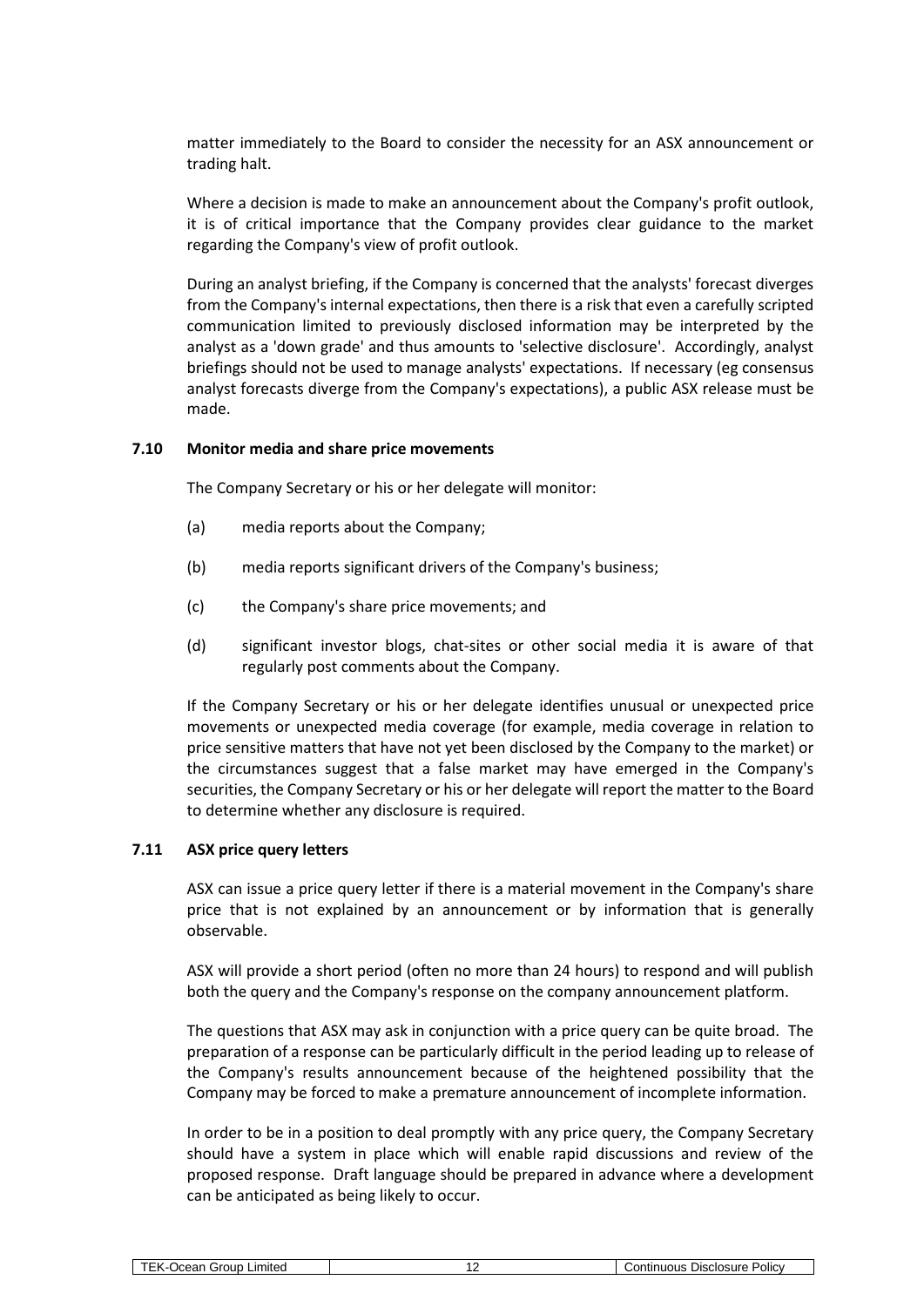matter immediately to the Board to consider the necessity for an ASX announcement or trading halt.

Where a decision is made to make an announcement about the Company's profit outlook, it is of critical importance that the Company provides clear guidance to the market regarding the Company's view of profit outlook.

During an analyst briefing, if the Company is concerned that the analysts' forecast diverges from the Company's internal expectations, then there is a risk that even a carefully scripted communication limited to previously disclosed information may be interpreted by the analyst as a 'down grade' and thus amounts to 'selective disclosure'. Accordingly, analyst briefings should not be used to manage analysts' expectations. If necessary (eg consensus analyst forecasts diverge from the Company's expectations), a public ASX release must be made.

#### **7.10 Monitor media and share price movements**

The Company Secretary or his or her delegate will monitor:

- (a) media reports about the Company;
- (b) media reports significant drivers of the Company's business;
- (c) the Company's share price movements; and
- (d) significant investor blogs, chat-sites or other social media it is aware of that regularly post comments about the Company.

If the Company Secretary or his or her delegate identifies unusual or unexpected price movements or unexpected media coverage (for example, media coverage in relation to price sensitive matters that have not yet been disclosed by the Company to the market) or the circumstances suggest that a false market may have emerged in the Company's securities, the Company Secretary or his or her delegate will report the matter to the Board to determine whether any disclosure is required.

#### <span id="page-11-0"></span>**7.11 ASX price query letters**

ASX can issue a price query letter if there is a material movement in the Company's share price that is not explained by an announcement or by information that is generally observable.

ASX will provide a short period (often no more than 24 hours) to respond and will publish both the query and the Company's response on the company announcement platform.

The questions that ASX may ask in conjunction with a price query can be quite broad. The preparation of a response can be particularly difficult in the period leading up to release of the Company's results announcement because of the heightened possibility that the Company may be forced to make a premature announcement of incomplete information.

In order to be in a position to deal promptly with any price query, the Company Secretary should have a system in place which will enable rapid discussions and review of the proposed response. Draft language should be prepared in advance where a development can be anticipated as being likely to occur.

| -imitec<br>`rout.<br>- - -<br>— ан | <b>Policy</b><br>Disclosure<br>$\sim$ ntin<br>າມຕາເ<br>. |
|------------------------------------|----------------------------------------------------------|
|                                    |                                                          |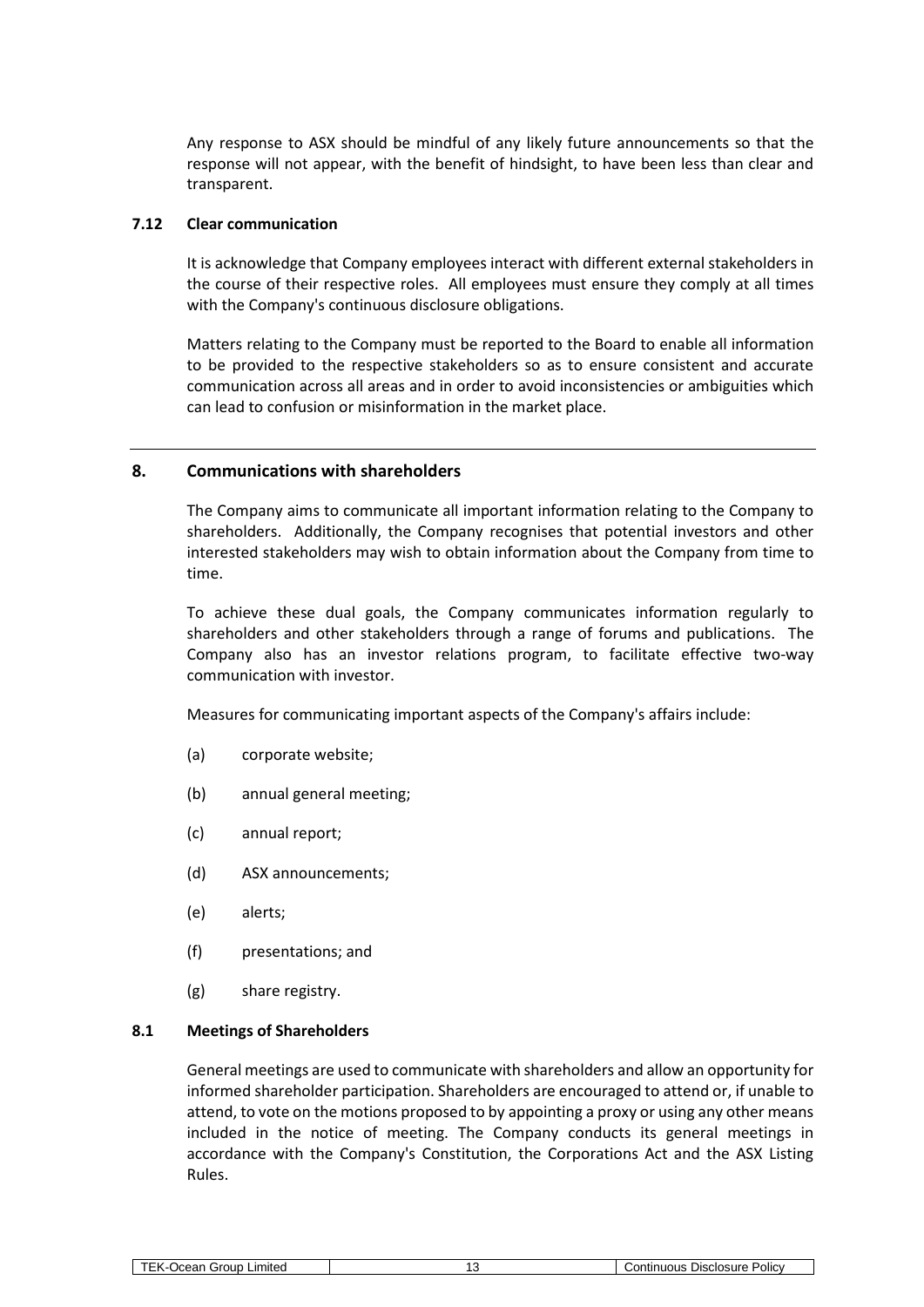Any response to ASX should be mindful of any likely future announcements so that the response will not appear, with the benefit of hindsight, to have been less than clear and transparent.

#### **7.12 Clear communication**

It is acknowledge that Company employees interact with different external stakeholders in the course of their respective roles. All employees must ensure they comply at all times with the Company's continuous disclosure obligations.

Matters relating to the Company must be reported to the Board to enable all information to be provided to the respective stakeholders so as to ensure consistent and accurate communication across all areas and in order to avoid inconsistencies or ambiguities which can lead to confusion or misinformation in the market place.

# **8. Communications with shareholders**

The Company aims to communicate all important information relating to the Company to shareholders. Additionally, the Company recognises that potential investors and other interested stakeholders may wish to obtain information about the Company from time to time.

To achieve these dual goals, the Company communicates information regularly to shareholders and other stakeholders through a range of forums and publications. The Company also has an investor relations program, to facilitate effective two-way communication with investor.

Measures for communicating important aspects of the Company's affairs include:

- (a) corporate website;
- (b) annual general meeting;
- (c) annual report;
- (d) ASX announcements;
- (e) alerts;
- (f) presentations; and
- (g) share registry.

## **8.1 Meetings of Shareholders**

General meetings are used to communicate with shareholders and allow an opportunity for informed shareholder participation. Shareholders are encouraged to attend or, if unable to attend, to vote on the motions proposed to by appointing a proxy or using any other means included in the notice of meeting. The Company conducts its general meetings in accordance with the Company's Constitution, the Corporations Act and the ASX Listing Rules.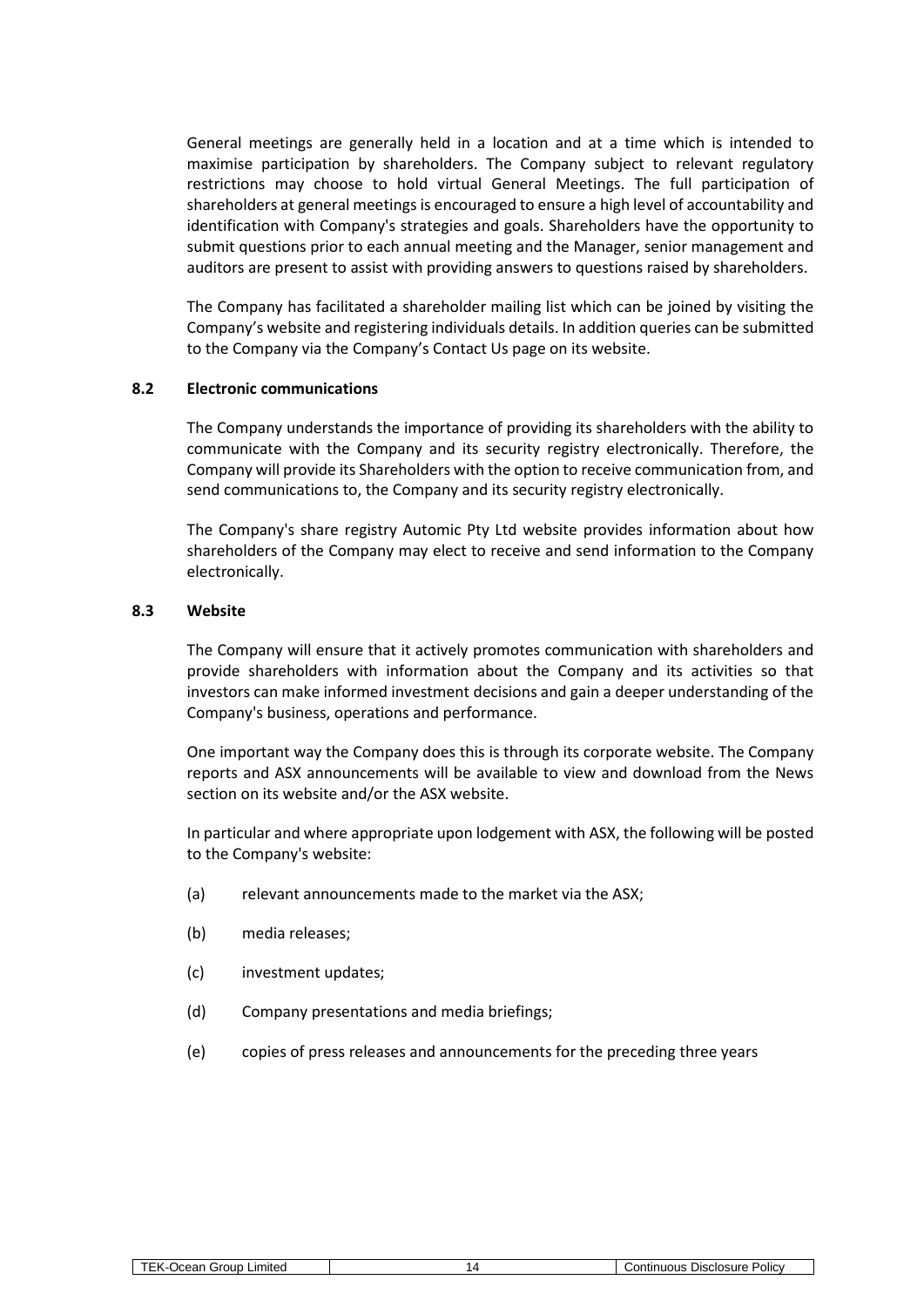General meetings are generally held in a location and at a time which is intended to maximise participation by shareholders. The Company subject to relevant regulatory restrictions may choose to hold virtual General Meetings. The full participation of shareholders at general meetings is encouraged to ensure a high level of accountability and identification with Company's strategies and goals. Shareholders have the opportunity to submit questions prior to each annual meeting and the Manager, senior management and auditors are present to assist with providing answers to questions raised by shareholders.

The Company has facilitated a shareholder mailing list which can be joined by visiting the Company's website and registering individuals details. In addition queries can be submitted to the Company via the Company's Contact Us page on its website.

#### **8.2 Electronic communications**

The Company understands the importance of providing its shareholders with the ability to communicate with the Company and its security registry electronically. Therefore, the Company will provide its Shareholders with the option to receive communication from, and send communications to, the Company and its security registry electronically.

The Company's share registry Automic Pty Ltd website provides information about how shareholders of the Company may elect to receive and send information to the Company electronically.

#### **8.3 Website**

The Company will ensure that it actively promotes communication with shareholders and provide shareholders with information about the Company and its activities so that investors can make informed investment decisions and gain a deeper understanding of the Company's business, operations and performance.

One important way the Company does this is through its corporate website. The Company reports and ASX announcements will be available to view and download from the News section on its website and/or the ASX website.

In particular and where appropriate upon lodgement with ASX, the following will be posted to the Company's website:

- (a) relevant announcements made to the market via the ASX;
- (b) media releases;
- (c) investment updates;
- (d) Company presentations and media briefings;
- (e) copies of press releases and announcements for the preceding three years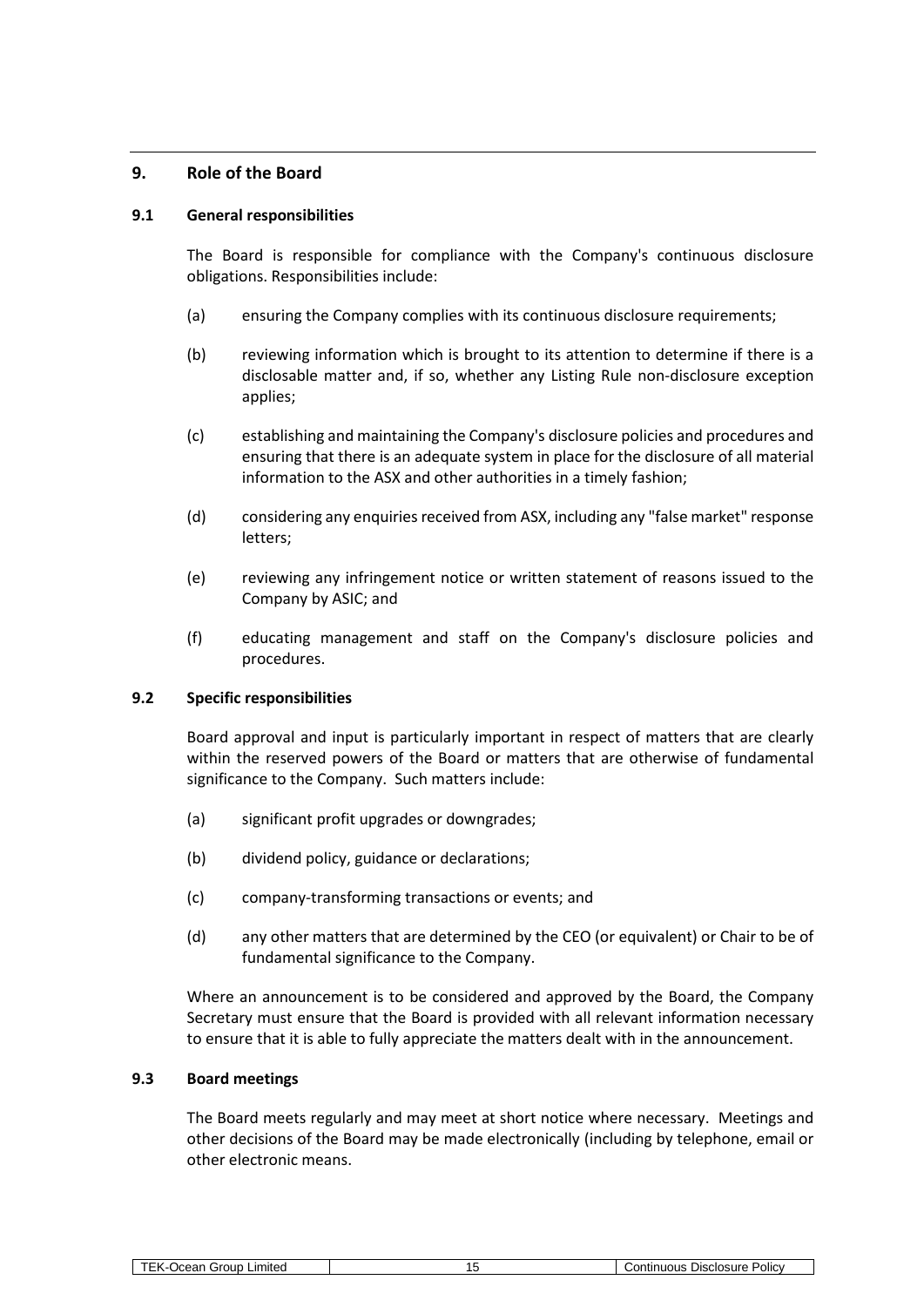# <span id="page-14-0"></span>**9. Role of the Board**

## **9.1 General responsibilities**

The Board is responsible for compliance with the Company's continuous disclosure obligations. Responsibilities include:

- (a) ensuring the Company complies with its continuous disclosure requirements;
- (b) reviewing information which is brought to its attention to determine if there is a disclosable matter and, if so, whether any Listing Rule non-disclosure exception applies;
- (c) establishing and maintaining the Company's disclosure policies and procedures and ensuring that there is an adequate system in place for the disclosure of all material information to the ASX and other authorities in a timely fashion;
- (d) considering any enquiries received from ASX, including any "false market" response letters;
- (e) reviewing any infringement notice or written statement of reasons issued to the Company by ASIC; and
- (f) educating management and staff on the Company's disclosure policies and procedures.

# **9.2 Specific responsibilities**

Board approval and input is particularly important in respect of matters that are clearly within the reserved powers of the Board or matters that are otherwise of fundamental significance to the Company. Such matters include:

- (a) significant profit upgrades or downgrades;
- (b) dividend policy, guidance or declarations;
- (c) company-transforming transactions or events; and
- (d) any other matters that are determined by the CEO (or equivalent) or Chair to be of fundamental significance to the Company.

Where an announcement is to be considered and approved by the Board, the Company Secretary must ensure that the Board is provided with all relevant information necessary to ensure that it is able to fully appreciate the matters dealt with in the announcement.

# **9.3 Board meetings**

The Board meets regularly and may meet at short notice where necessary. Meetings and other decisions of the Board may be made electronically (including by telephone, email or other electronic means.

| Limitec<br><b>rour</b><br>$\sim$<br>יי<br>saı | Uisclosure<br>POIICV<br>110110<br>$\sim$<br>വല |
|-----------------------------------------------|------------------------------------------------|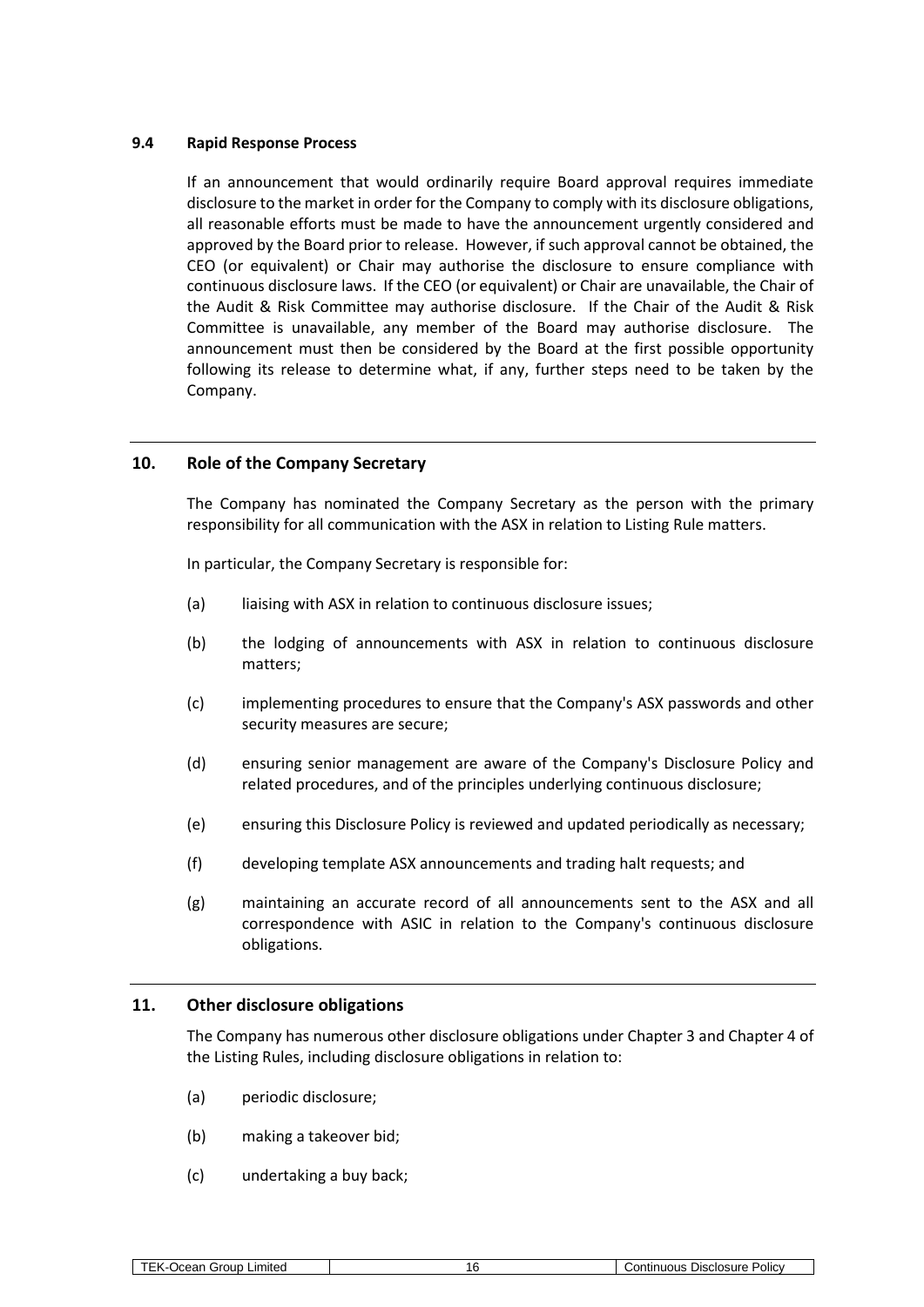## **9.4 Rapid Response Process**

If an announcement that would ordinarily require Board approval requires immediate disclosure to the market in order for the Company to comply with its disclosure obligations, all reasonable efforts must be made to have the announcement urgently considered and approved by the Board prior to release. However, if such approval cannot be obtained, the CEO (or equivalent) or Chair may authorise the disclosure to ensure compliance with continuous disclosure laws. If the CEO (or equivalent) or Chair are unavailable, the Chair of the Audit & Risk Committee may authorise disclosure. If the Chair of the Audit & Risk Committee is unavailable, any member of the Board may authorise disclosure. The announcement must then be considered by the Board at the first possible opportunity following its release to determine what, if any, further steps need to be taken by the Company.

# <span id="page-15-0"></span>**10. Role of the Company Secretary**

The Company has nominated the Company Secretary as the person with the primary responsibility for all communication with the ASX in relation to Listing Rule matters.

In particular, the Company Secretary is responsible for:

- (a) liaising with ASX in relation to continuous disclosure issues;
- (b) the lodging of announcements with ASX in relation to continuous disclosure matters;
- (c) implementing procedures to ensure that the Company's ASX passwords and other security measures are secure;
- (d) ensuring senior management are aware of the Company's Disclosure Policy and related procedures, and of the principles underlying continuous disclosure;
- (e) ensuring this Disclosure Policy is reviewed and updated periodically as necessary;
- (f) developing template ASX announcements and trading halt requests; and
- (g) maintaining an accurate record of all announcements sent to the ASX and all correspondence with ASIC in relation to the Company's continuous disclosure obligations.

#### **11. Other disclosure obligations**

The Company has numerous other disclosure obligations under Chapter 3 and Chapter 4 of the Listing Rules, including disclosure obligations in relation to:

- (a) periodic disclosure;
- (b) making a takeover bid;
- (c) undertaking a buy back;

| TFK-<br>Group<br>Limited<br>⊃cean ′<br>- 1 | ำี | Disclosure<br>Policy<br>∴ontinuous |
|--------------------------------------------|----|------------------------------------|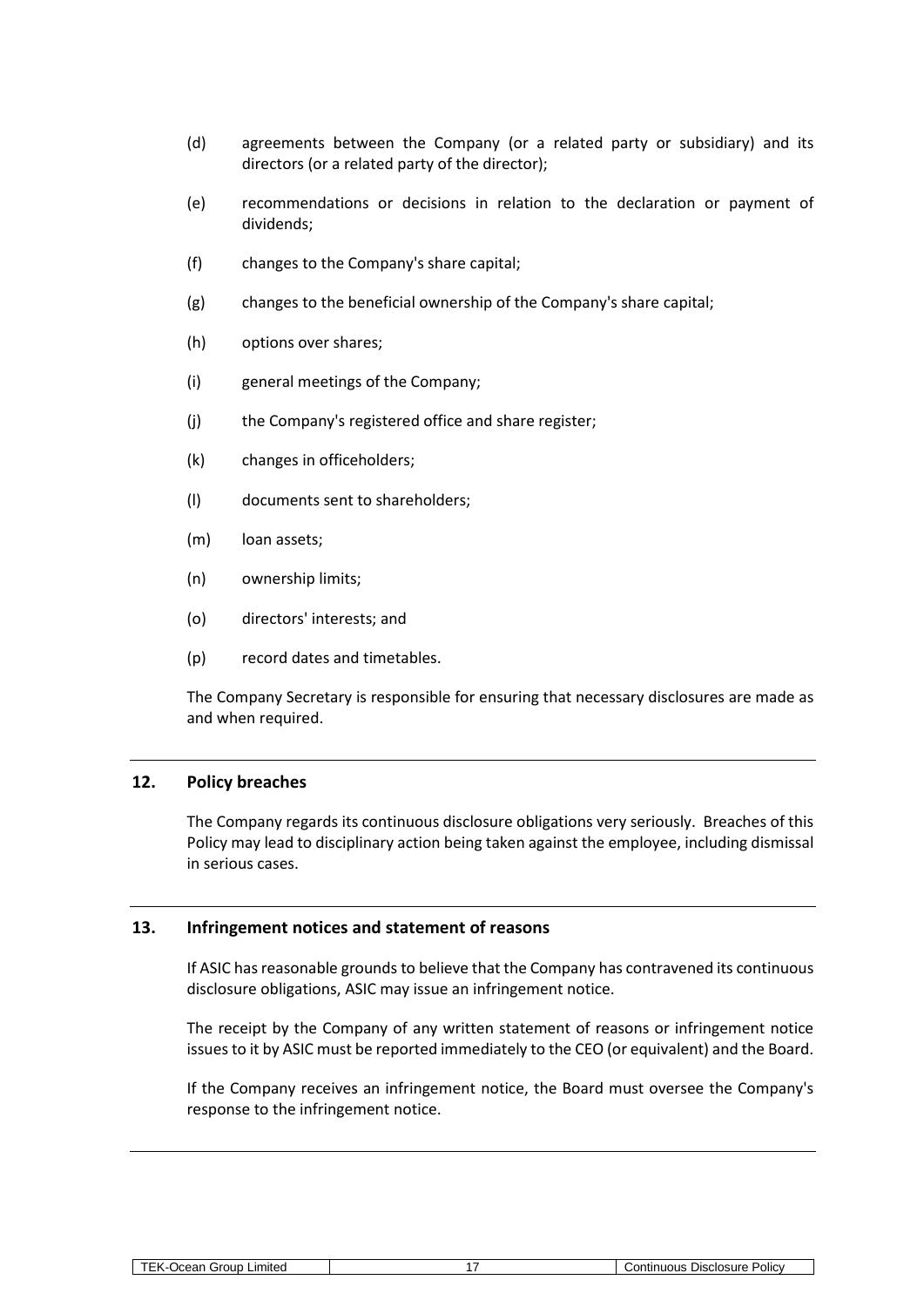- (d) agreements between the Company (or a related party or subsidiary) and its directors (or a related party of the director);
- (e) recommendations or decisions in relation to the declaration or payment of dividends;
- (f) changes to the Company's share capital;
- (g) changes to the beneficial ownership of the Company's share capital;
- (h) options over shares;
- (i) general meetings of the Company;
- (j) the Company's registered office and share register;
- (k) changes in officeholders;
- (l) documents sent to shareholders;
- (m) loan assets;
- (n) ownership limits;
- (o) directors' interests; and
- (p) record dates and timetables.

The Company Secretary is responsible for ensuring that necessary disclosures are made as and when required.

# **12. Policy breaches**

The Company regards its continuous disclosure obligations very seriously. Breaches of this Policy may lead to disciplinary action being taken against the employee, including dismissal in serious cases.

#### **13. Infringement notices and statement of reasons**

If ASIC has reasonable grounds to believe that the Company has contravened its continuous disclosure obligations, ASIC may issue an infringement notice.

The receipt by the Company of any written statement of reasons or infringement notice issues to it by ASIC must be reported immediately to the CEO (or equivalent) and the Board.

If the Company receives an infringement notice, the Board must oversee the Company's response to the infringement notice.

| <b>TEK-Ocean Group Limited</b> |
|--------------------------------|
|--------------------------------|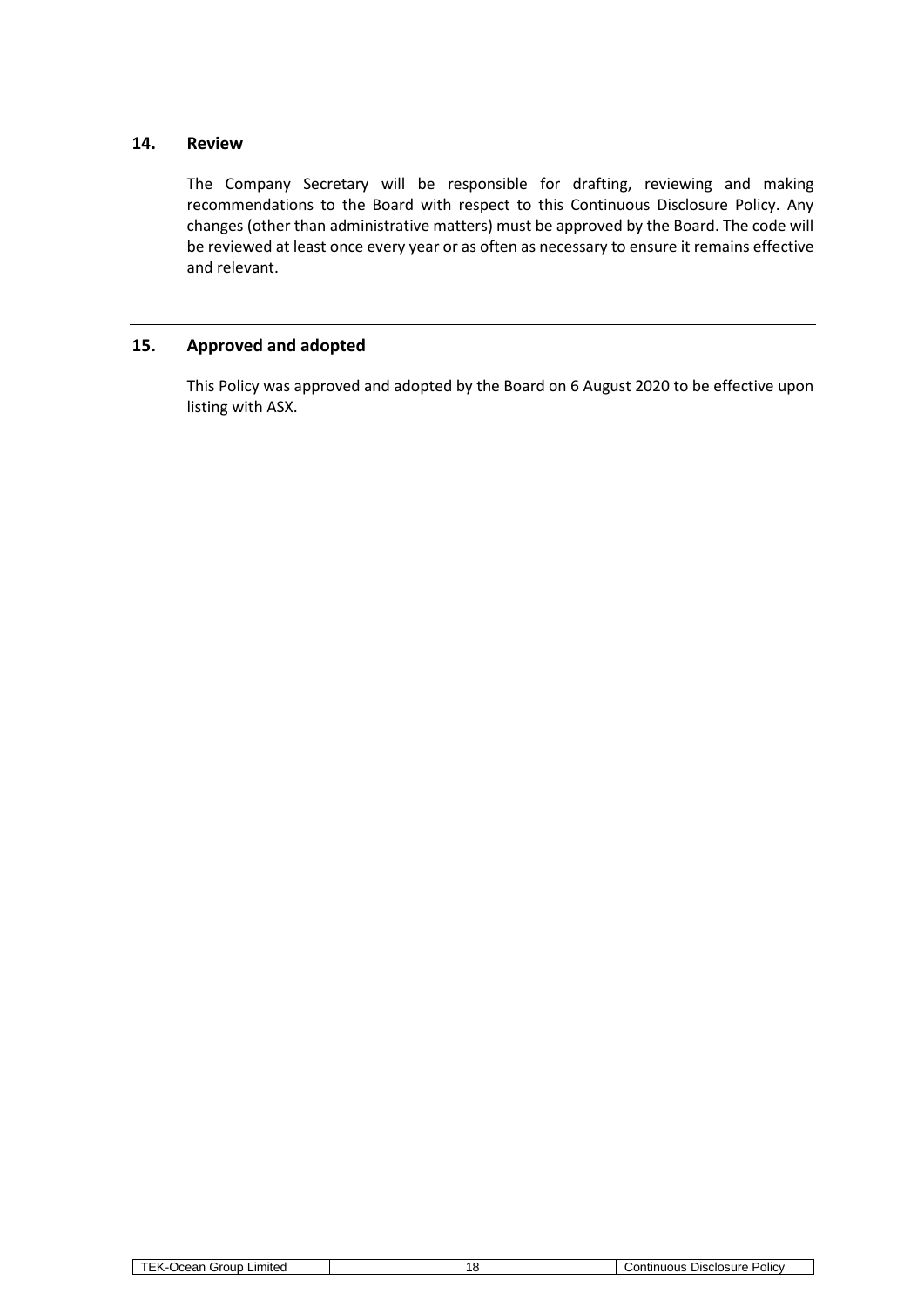# **14. Review**

The Company Secretary will be responsible for drafting, reviewing and making recommendations to the Board with respect to this Continuous Disclosure Policy. Any changes (other than administrative matters) must be approved by the Board. The code will be reviewed at least once every year or as often as necessary to ensure it remains effective and relevant.

# **15. Approved and adopted**

This Policy was approved and adopted by the Board on 6 August 2020 to be effective upon listing with ASX.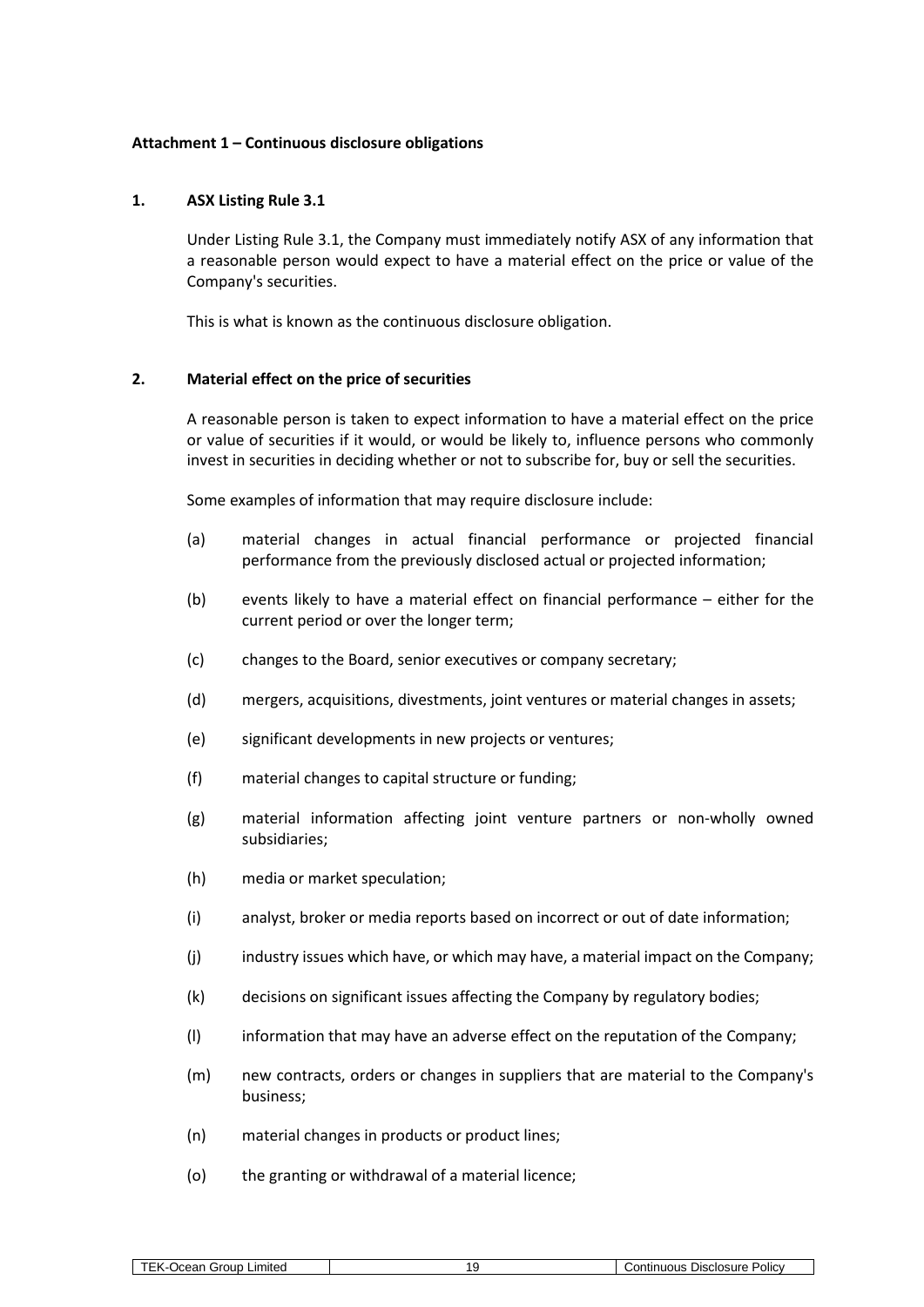#### <span id="page-18-1"></span>**Attachment 1 – Continuous disclosure obligations**

#### **1. ASX Listing Rule 3.1**

Under Listing Rule 3.1, the Company must immediately notify ASX of any information that a reasonable person would expect to have a material effect on the price or value of the Company's securities.

This is what is known as the continuous disclosure obligation.

#### <span id="page-18-0"></span>**2. Material effect on the price of securities**

A reasonable person is taken to expect information to have a material effect on the price or value of securities if it would, or would be likely to, influence persons who commonly invest in securities in deciding whether or not to subscribe for, buy or sell the securities.

Some examples of information that may require disclosure include:

- (a) material changes in actual financial performance or projected financial performance from the previously disclosed actual or projected information;
- (b) events likely to have a material effect on financial performance either for the current period or over the longer term;
- (c) changes to the Board, senior executives or company secretary;
- (d) mergers, acquisitions, divestments, joint ventures or material changes in assets;
- (e) significant developments in new projects or ventures;
- (f) material changes to capital structure or funding;
- (g) material information affecting joint venture partners or non-wholly owned subsidiaries;
- (h) media or market speculation;
- (i) analyst, broker or media reports based on incorrect or out of date information;
- (j) industry issues which have, or which may have, a material impact on the Company;
- (k) decisions on significant issues affecting the Company by regulatory bodies;
- (l) information that may have an adverse effect on the reputation of the Company;
- (m) new contracts, orders or changes in suppliers that are material to the Company's business;
- (n) material changes in products or product lines;
- (o) the granting or withdrawal of a material licence;

| Group<br>_ımıted<br>$\overline{\phantom{a}}$<br>$\sim$<br>1.5711 | <b>Policy</b><br>Disclosure<br>.<br>----<br>,,,,,,,<br>,,,,, |
|------------------------------------------------------------------|--------------------------------------------------------------|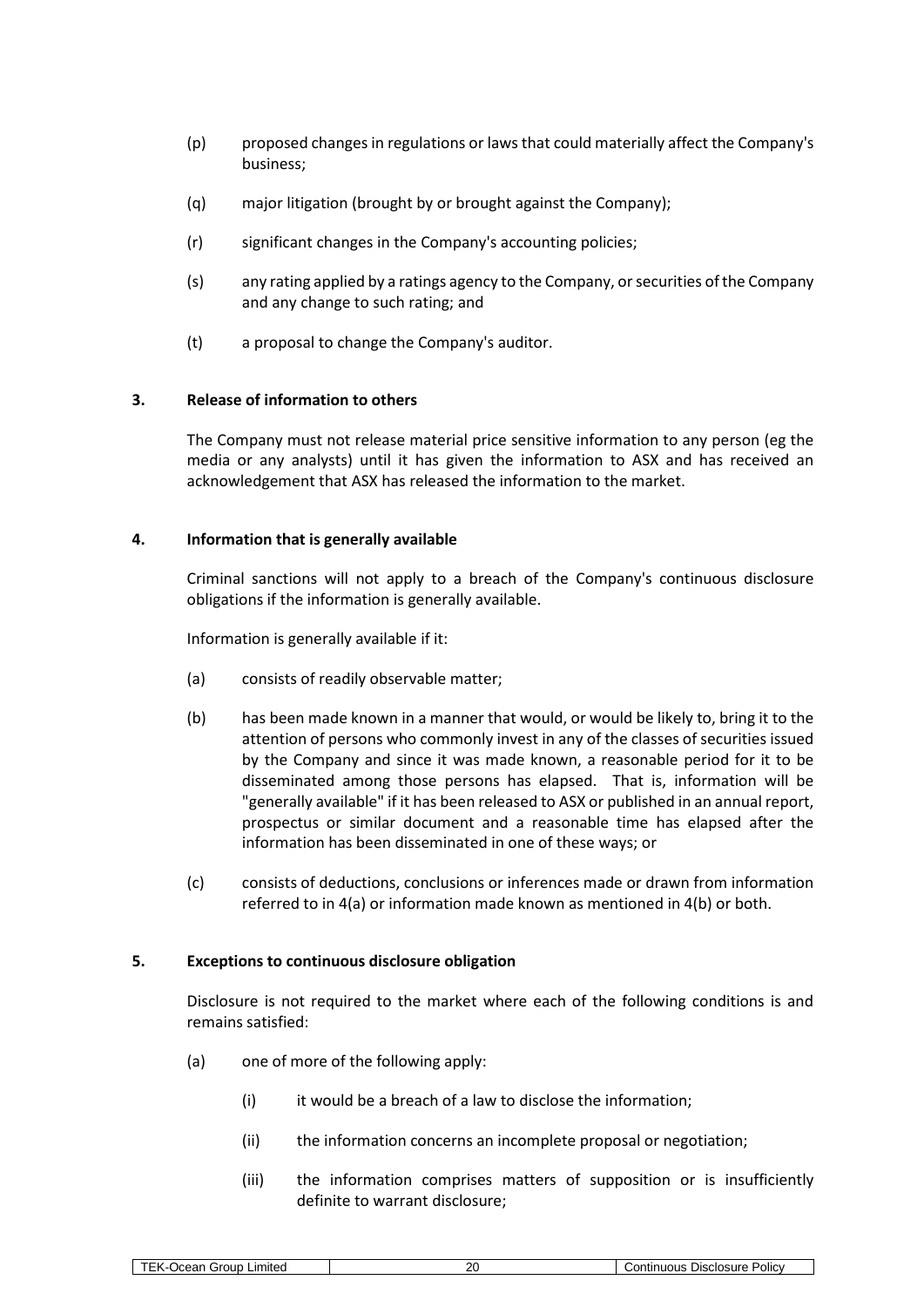- (p) proposed changes in regulations or laws that could materially affect the Company's business;
- (q) major litigation (brought by or brought against the Company);
- (r) significant changes in the Company's accounting policies;
- (s) any rating applied by a ratings agency to the Company, or securities of the Company and any change to such rating; and
- (t) a proposal to change the Company's auditor.

## **3. Release of information to others**

The Company must not release material price sensitive information to any person (eg the media or any analysts) until it has given the information to ASX and has received an acknowledgement that ASX has released the information to the market.

#### <span id="page-19-0"></span>**4. Information that is generally available**

Criminal sanctions will not apply to a breach of the Company's continuous disclosure obligations if the information is generally available.

Information is generally available if it:

- <span id="page-19-2"></span><span id="page-19-1"></span>(a) consists of readily observable matter;
- (b) has been made known in a manner that would, or would be likely to, bring it to the attention of persons who commonly invest in any of the classes of securities issued by the Company and since it was made known, a reasonable period for it to be disseminated among those persons has elapsed. That is, information will be "generally available" if it has been released to ASX or published in an annual report, prospectus or similar document and a reasonable time has elapsed after the information has been disseminated in one of these ways; or
- (c) consists of deductions, conclusions or inferences made or drawn from information referred to in [4](#page-19-0)[\(a\)](#page-19-1) or information made known as mentioned in [4](#page-19-0)[\(b\)](#page-19-2) or both.

#### <span id="page-19-3"></span>**5. Exceptions to continuous disclosure obligation**

Disclosure is not required to the market where each of the following conditions is and remains satisfied:

- (a) one of more of the following apply:
	- (i) it would be a breach of a law to disclose the information;
	- (ii) the information concerns an incomplete proposal or negotiation;
	- (iii) the information comprises matters of supposition or is insufficiently definite to warrant disclosure;

| TEK-Ocean Group Limited |  |
|-------------------------|--|
|-------------------------|--|